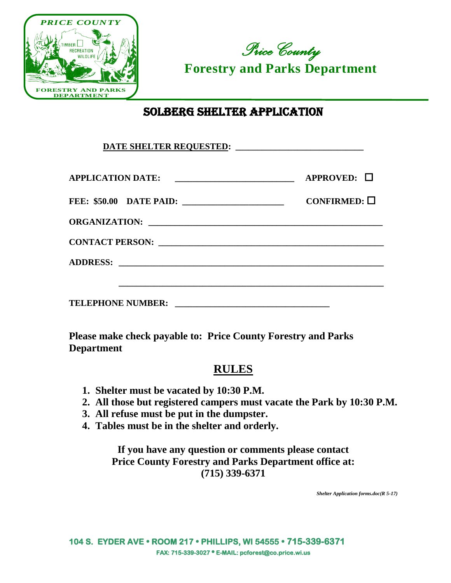

*Price County*  **Forestry and Parks Department**

## SOLBERG SHELTER APPLICATION

| APPLICATION DATE: __________________________         | $APPROVED: \Box$     |
|------------------------------------------------------|----------------------|
| <b>FEE: \$50.00 DATE PAID:</b> _____________________ | CONFIRMED: $\square$ |
|                                                      |                      |
|                                                      |                      |
|                                                      |                      |
|                                                      |                      |
|                                                      |                      |

**Please make check payable to: Price County Forestry and Parks Department**

## **RULES**

- **1. Shelter must be vacated by 10:30 P.M.**
- **2. All those but registered campers must vacate the Park by 10:30 P.M.**
- **3. All refuse must be put in the dumpster.**
- **4. Tables must be in the shelter and orderly.**

**If you have any question or comments please contact Price County Forestry and Parks Department office at: (715) 339-6371**

*Shelter Application forms.doc(R 5-17)*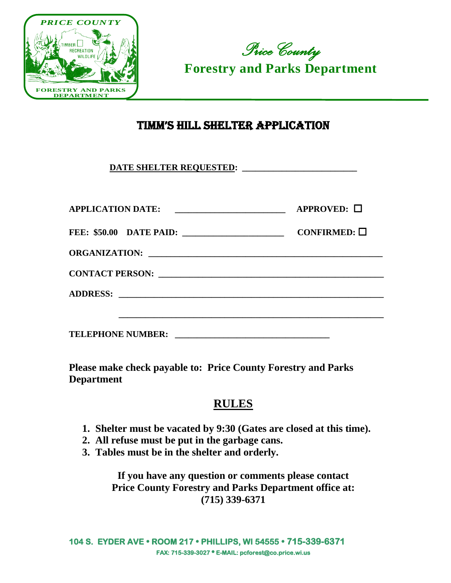



## TIMM'S HILL SHELTER APPLICATION

**DATE SHELTER REQUESTED: \_\_\_\_\_\_\_\_\_\_\_\_\_\_\_\_\_\_\_\_\_\_\_\_\_\_**

| <b>APPLICATION DATE:</b><br><u> 1980 - Jan James James Barnett, fizik eta idazlear (</u> | $APPROVED: \Box$     |
|------------------------------------------------------------------------------------------|----------------------|
|                                                                                          | CONFIRMED: $\square$ |
|                                                                                          |                      |
|                                                                                          |                      |
|                                                                                          |                      |
|                                                                                          |                      |
| <b>TELEPHONE NUMBER:</b>                                                                 |                      |

**Please make check payable to: Price County Forestry and Parks Department**

## **RULES**

- **1. Shelter must be vacated by 9:30 (Gates are closed at this time).**
- **2. All refuse must be put in the garbage cans.**
- **3. Tables must be in the shelter and orderly.**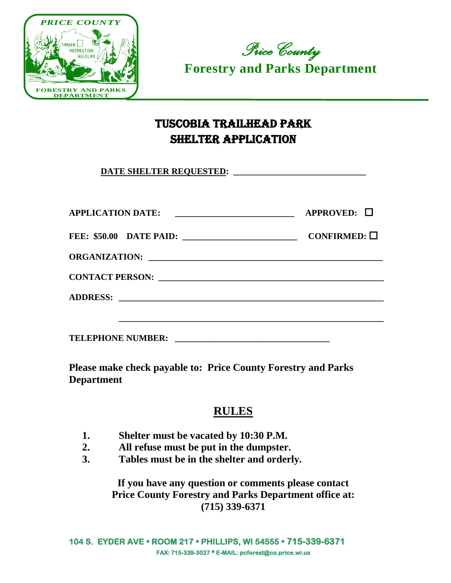



# TUSCOBIA TRAILHEAD PARK SHELTER APPLICATION

**DATE SHELTER REQUESTED: \_\_\_\_\_\_\_\_\_\_\_\_\_\_\_\_\_\_\_\_\_\_\_\_\_\_\_\_\_\_**

| <b>APPLICATION DATE:</b><br><u> 1989 - Jan James James James James James James James James James James James James James James James James Ja</u> | $APPROVED: \Box$     |
|---------------------------------------------------------------------------------------------------------------------------------------------------|----------------------|
|                                                                                                                                                   | CONFIRMED: $\square$ |
|                                                                                                                                                   |                      |
|                                                                                                                                                   |                      |
|                                                                                                                                                   |                      |
|                                                                                                                                                   |                      |
| <b>TELEPHONE NUMBER:</b>                                                                                                                          |                      |

**Please make check payable to: Price County Forestry and Parks Department**

#### **RULES**

- **1. Shelter must be vacated by 10:30 P.M.**
- **2. All refuse must be put in the dumpster.**
- **3. Tables must be in the shelter and orderly.**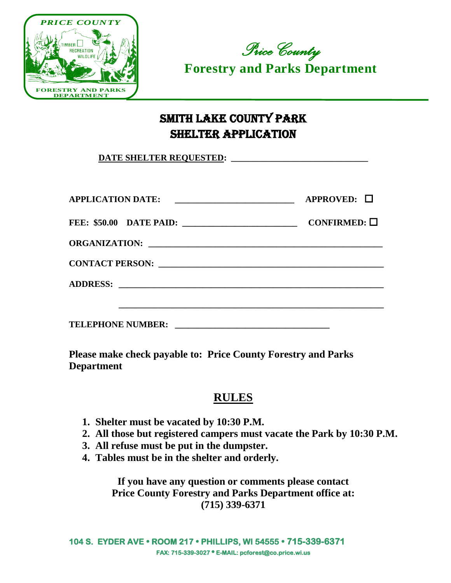



# SMITH LAKE COUNTY PARK SHELTER APPLICATION

| APPLICATION DATE:                        | $APPROVED: \Box$     |
|------------------------------------------|----------------------|
|                                          | CONFIRMED: $\square$ |
|                                          |                      |
| CONTACT PERSON: New York CONTACT PERSON: |                      |
|                                          |                      |
|                                          |                      |
| <b>TELEPHONE NUMBER:</b>                 |                      |

**Please make check payable to: Price County Forestry and Parks Department**

### **RULES**

- **1. Shelter must be vacated by 10:30 P.M.**
- **2. All those but registered campers must vacate the Park by 10:30 P.M.**
- **3. All refuse must be put in the dumpster.**
- **4. Tables must be in the shelter and orderly.**